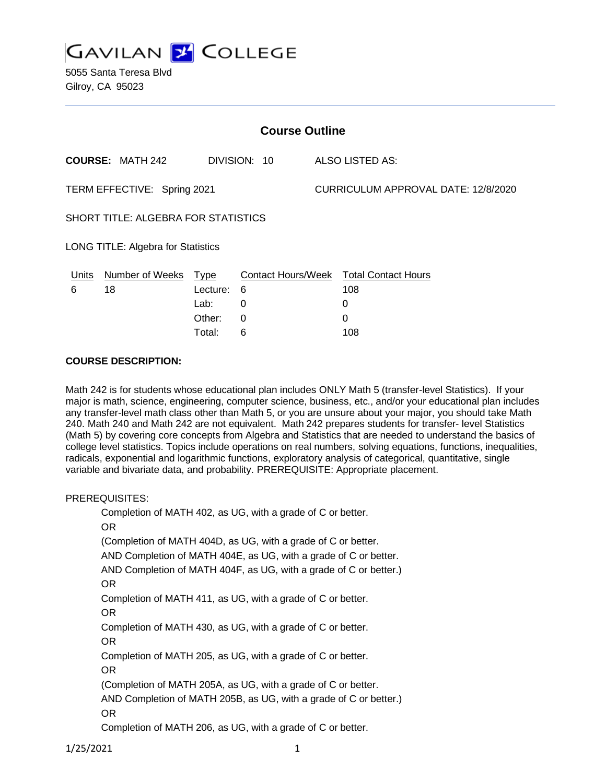**GAVILAN Y COLLEGE** 

5055 Santa Teresa Blvd Gilroy, CA 95023

| <b>Course Outline</b>               |                         |             |              |  |                                        |  |
|-------------------------------------|-------------------------|-------------|--------------|--|----------------------------------------|--|
|                                     | <b>COURSE: MATH 242</b> |             | DIVISION: 10 |  | ALSO LISTED AS:                        |  |
| TERM EFFECTIVE: Spring 2021         |                         |             |              |  | CURRICULUM APPROVAL DATE: 12/8/2020    |  |
| SHORT TITLE: ALGEBRA FOR STATISTICS |                         |             |              |  |                                        |  |
| LONG TITLE: Algebra for Statistics  |                         |             |              |  |                                        |  |
| Units                               | <b>Number of Weeks</b>  | <u>Type</u> |              |  | Contact Hours/Week Total Contact Hours |  |
| 6                                   | 18                      | Lecture:    | 6            |  | 108                                    |  |
|                                     |                         | Lab:        | 0            |  | 0                                      |  |
|                                     |                         | Other:      | 0            |  | 0                                      |  |
|                                     |                         | Total:      | 6            |  | 108                                    |  |

#### **COURSE DESCRIPTION:**

Math 242 is for students whose educational plan includes ONLY Math 5 (transfer-level Statistics). If your major is math, science, engineering, computer science, business, etc., and/or your educational plan includes any transfer-level math class other than Math 5, or you are unsure about your major, you should take Math 240. Math 240 and Math 242 are not equivalent. Math 242 prepares students for transfer- level Statistics (Math 5) by covering core concepts from Algebra and Statistics that are needed to understand the basics of college level statistics. Topics include operations on real numbers, solving equations, functions, inequalities, radicals, exponential and logarithmic functions, exploratory analysis of categorical, quantitative, single variable and bivariate data, and probability. PREREQUISITE: Appropriate placement.

#### PREREQUISITES:

Completion of MATH 402, as UG, with a grade of C or better. OR (Completion of MATH 404D, as UG, with a grade of C or better. AND Completion of MATH 404E, as UG, with a grade of C or better. AND Completion of MATH 404F, as UG, with a grade of C or better.) OR Completion of MATH 411, as UG, with a grade of C or better. OR Completion of MATH 430, as UG, with a grade of C or better. OR Completion of MATH 205, as UG, with a grade of C or better. OR (Completion of MATH 205A, as UG, with a grade of C or better. AND Completion of MATH 205B, as UG, with a grade of C or better.) OR Completion of MATH 206, as UG, with a grade of C or better.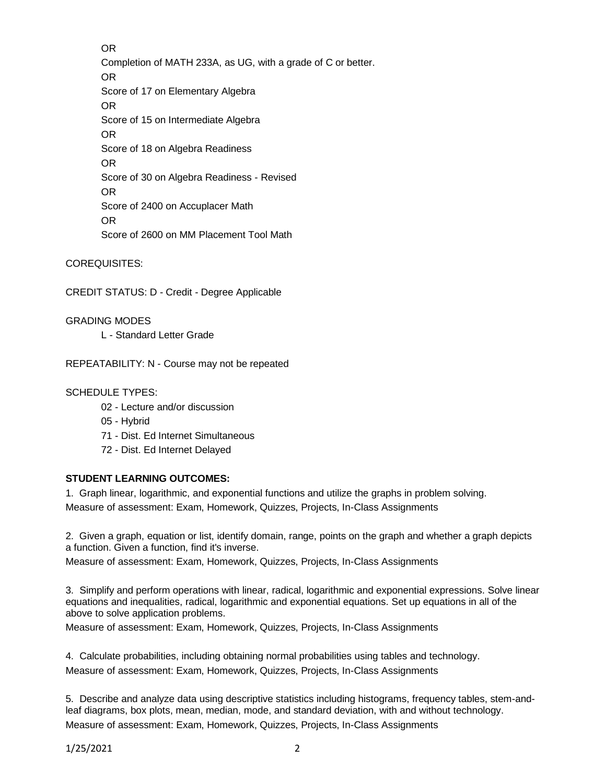OR Completion of MATH 233A, as UG, with a grade of C or better. OR Score of 17 on Elementary Algebra OR Score of 15 on Intermediate Algebra OR Score of 18 on Algebra Readiness OR Score of 30 on Algebra Readiness - Revised OR Score of 2400 on Accuplacer Math OR Score of 2600 on MM Placement Tool Math

COREQUISITES:

CREDIT STATUS: D - Credit - Degree Applicable

GRADING MODES

L - Standard Letter Grade

REPEATABILITY: N - Course may not be repeated

SCHEDULE TYPES:

- 02 Lecture and/or discussion
- 05 Hybrid

71 - Dist. Ed Internet Simultaneous

72 - Dist. Ed Internet Delayed

### **STUDENT LEARNING OUTCOMES:**

1. Graph linear, logarithmic, and exponential functions and utilize the graphs in problem solving.

Measure of assessment: Exam, Homework, Quizzes, Projects, In-Class Assignments

2. Given a graph, equation or list, identify domain, range, points on the graph and whether a graph depicts a function. Given a function, find it's inverse.

Measure of assessment: Exam, Homework, Quizzes, Projects, In-Class Assignments

3. Simplify and perform operations with linear, radical, logarithmic and exponential expressions. Solve linear equations and inequalities, radical, logarithmic and exponential equations. Set up equations in all of the above to solve application problems.

Measure of assessment: Exam, Homework, Quizzes, Projects, In-Class Assignments

4. Calculate probabilities, including obtaining normal probabilities using tables and technology. Measure of assessment: Exam, Homework, Quizzes, Projects, In-Class Assignments

5. Describe and analyze data using descriptive statistics including histograms, frequency tables, stem-andleaf diagrams, box plots, mean, median, mode, and standard deviation, with and without technology. Measure of assessment: Exam, Homework, Quizzes, Projects, In-Class Assignments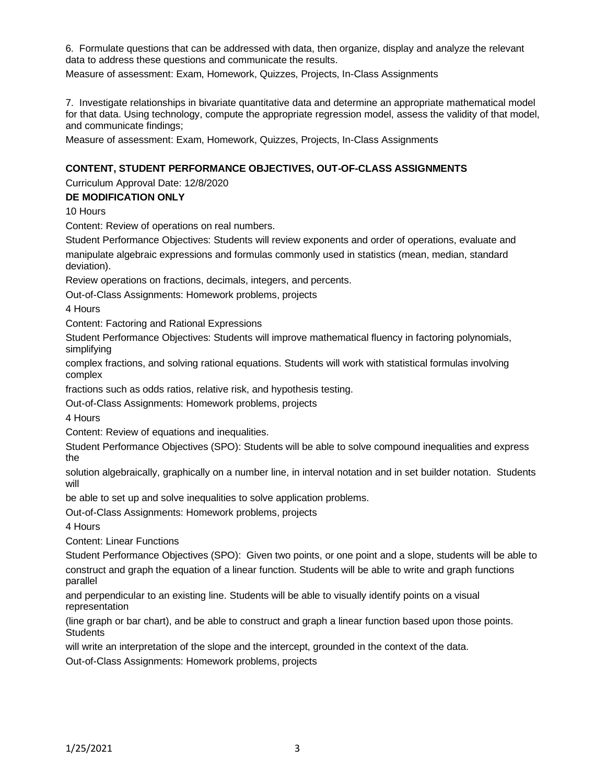6. Formulate questions that can be addressed with data, then organize, display and analyze the relevant data to address these questions and communicate the results.

Measure of assessment: Exam, Homework, Quizzes, Projects, In-Class Assignments

7. Investigate relationships in bivariate quantitative data and determine an appropriate mathematical model for that data. Using technology, compute the appropriate regression model, assess the validity of that model, and communicate findings;

Measure of assessment: Exam, Homework, Quizzes, Projects, In-Class Assignments

### **CONTENT, STUDENT PERFORMANCE OBJECTIVES, OUT-OF-CLASS ASSIGNMENTS**

Curriculum Approval Date: 12/8/2020

### **DE MODIFICATION ONLY**

10 Hours

Content: Review of operations on real numbers.

Student Performance Objectives: Students will review exponents and order of operations, evaluate and manipulate algebraic expressions and formulas commonly used in statistics (mean, median, standard deviation).

Review operations on fractions, decimals, integers, and percents.

Out-of-Class Assignments: Homework problems, projects

4 Hours

Content: Factoring and Rational Expressions

Student Performance Objectives: Students will improve mathematical fluency in factoring polynomials, simplifying

complex fractions, and solving rational equations. Students will work with statistical formulas involving complex

fractions such as odds ratios, relative risk, and hypothesis testing.

Out-of-Class Assignments: Homework problems, projects

4 Hours

Content: Review of equations and inequalities.

Student Performance Objectives (SPO): Students will be able to solve compound inequalities and express the

solution algebraically, graphically on a number line, in interval notation and in set builder notation. Students will

be able to set up and solve inequalities to solve application problems.

Out-of-Class Assignments: Homework problems, projects

4 Hours

Content: Linear Functions

Student Performance Objectives (SPO): Given two points, or one point and a slope, students will be able to construct and graph the equation of a linear function. Students will be able to write and graph functions parallel

and perpendicular to an existing line. Students will be able to visually identify points on a visual representation

(line graph or bar chart), and be able to construct and graph a linear function based upon those points. **Students** 

will write an interpretation of the slope and the intercept, grounded in the context of the data.

Out-of-Class Assignments: Homework problems, projects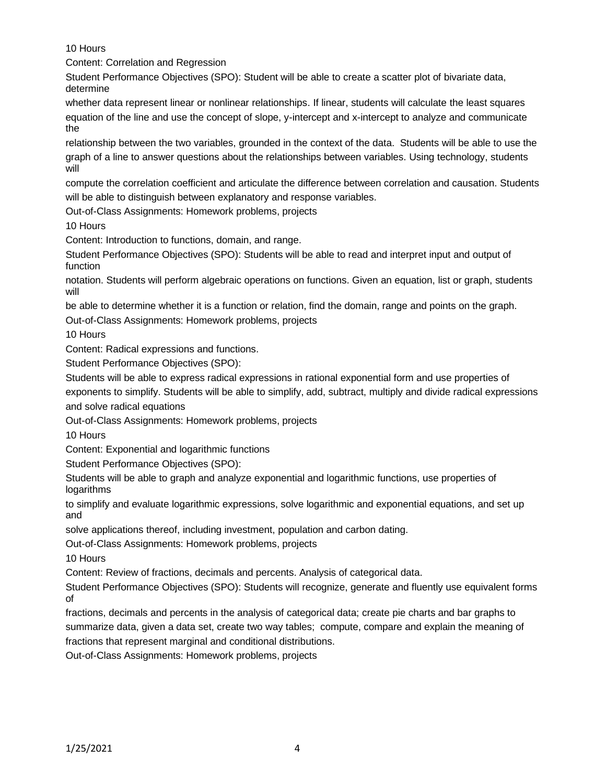10 Hours

Content: Correlation and Regression

Student Performance Objectives (SPO): Student will be able to create a scatter plot of bivariate data, determine

whether data represent linear or nonlinear relationships. If linear, students will calculate the least squares equation of the line and use the concept of slope, y-intercept and x-intercept to analyze and communicate the

relationship between the two variables, grounded in the context of the data. Students will be able to use the graph of a line to answer questions about the relationships between variables. Using technology, students will

compute the correlation coefficient and articulate the difference between correlation and causation. Students will be able to distinguish between explanatory and response variables.

Out-of-Class Assignments: Homework problems, projects

10 Hours

Content: Introduction to functions, domain, and range.

Student Performance Objectives (SPO): Students will be able to read and interpret input and output of function

notation. Students will perform algebraic operations on functions. Given an equation, list or graph, students will

be able to determine whether it is a function or relation, find the domain, range and points on the graph.

Out-of-Class Assignments: Homework problems, projects

10 Hours

Content: Radical expressions and functions.

Student Performance Objectives (SPO):

Students will be able to express radical expressions in rational exponential form and use properties of exponents to simplify. Students will be able to simplify, add, subtract, multiply and divide radical expressions and solve radical equations

Out-of-Class Assignments: Homework problems, projects

10 Hours

Content: Exponential and logarithmic functions

Student Performance Objectives (SPO):

Students will be able to graph and analyze exponential and logarithmic functions, use properties of logarithms

to simplify and evaluate logarithmic expressions, solve logarithmic and exponential equations, and set up and

solve applications thereof, including investment, population and carbon dating.

Out-of-Class Assignments: Homework problems, projects

10 Hours

Content: Review of fractions, decimals and percents. Analysis of categorical data.

Student Performance Objectives (SPO): Students will recognize, generate and fluently use equivalent forms of

fractions, decimals and percents in the analysis of categorical data; create pie charts and bar graphs to summarize data, given a data set, create two way tables; compute, compare and explain the meaning of fractions that represent marginal and conditional distributions.

Out-of-Class Assignments: Homework problems, projects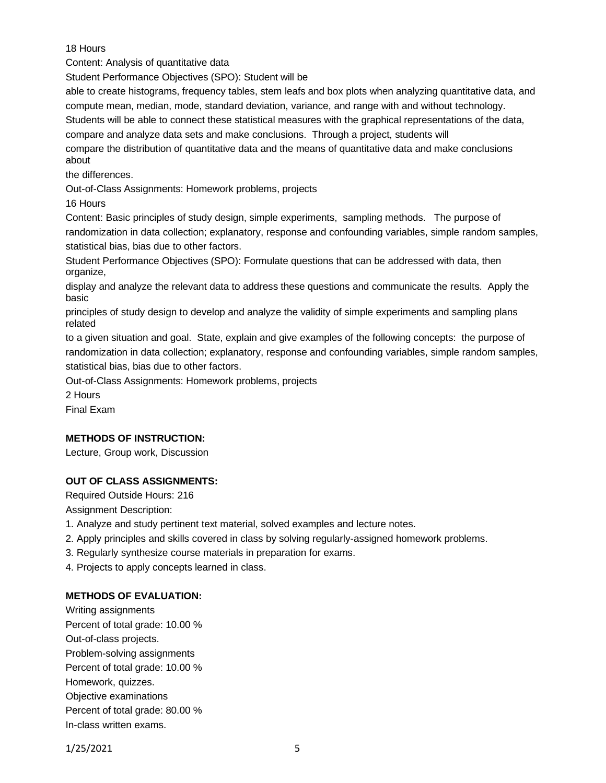## 18 Hours

Content: Analysis of quantitative data

Student Performance Objectives (SPO): Student will be

able to create histograms, frequency tables, stem leafs and box plots when analyzing quantitative data, and compute mean, median, mode, standard deviation, variance, and range with and without technology.

Students will be able to connect these statistical measures with the graphical representations of the data,

compare and analyze data sets and make conclusions. Through a project, students will

compare the distribution of quantitative data and the means of quantitative data and make conclusions about

the differences.

Out-of-Class Assignments: Homework problems, projects

16 Hours

Content: Basic principles of study design, simple experiments, sampling methods. The purpose of randomization in data collection; explanatory, response and confounding variables, simple random samples, statistical bias, bias due to other factors.

Student Performance Objectives (SPO): Formulate questions that can be addressed with data, then organize,

display and analyze the relevant data to address these questions and communicate the results. Apply the basic

principles of study design to develop and analyze the validity of simple experiments and sampling plans related

to a given situation and goal. State, explain and give examples of the following concepts: the purpose of randomization in data collection; explanatory, response and confounding variables, simple random samples, statistical bias, bias due to other factors.

Out-of-Class Assignments: Homework problems, projects

2 Hours

Final Exam

# **METHODS OF INSTRUCTION:**

Lecture, Group work, Discussion

# **OUT OF CLASS ASSIGNMENTS:**

Required Outside Hours: 216 Assignment Description:

1. Analyze and study pertinent text material, solved examples and lecture notes.

- 2. Apply principles and skills covered in class by solving regularly-assigned homework problems.
- 3. Regularly synthesize course materials in preparation for exams.

4. Projects to apply concepts learned in class.

# **METHODS OF EVALUATION:**

Writing assignments Percent of total grade: 10.00 % Out-of-class projects. Problem-solving assignments Percent of total grade: 10.00 % Homework, quizzes. Objective examinations Percent of total grade: 80.00 % In-class written exams.